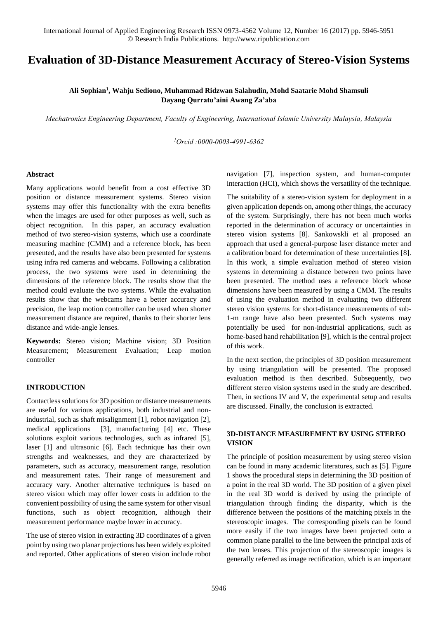# **Evaluation of 3D-Distance Measurement Accuracy of Stereo-Vision Systems**

# **Ali Sophian<sup>1</sup> , Wahju Sediono, Muhammad Ridzwan Salahudin, Mohd Saatarie Mohd Shamsuli Dayang Qurratu'aini Awang Za'aba**

*Mechatronics Engineering Department, Faculty of Engineering, International Islamic University Malaysia, Malaysia* 

*<sup>1</sup>Orcid :0000-0003-4991-6362*

#### **Abstract**

Many applications would benefit from a cost effective 3D position or distance measurement systems. Stereo vision systems may offer this functionality with the extra benefits when the images are used for other purposes as well, such as object recognition. In this paper, an accuracy evaluation method of two stereo-vision systems, which use a coordinate measuring machine (CMM) and a reference block, has been presented, and the results have also been presented for systems using infra red cameras and webcams. Following a calibration process, the two systems were used in determining the dimensions of the reference block. The results show that the method could evaluate the two systems. While the evaluation results show that the webcams have a better accuracy and precision, the leap motion controller can be used when shorter measurement distance are required, thanks to their shorter lens distance and wide-angle lenses.

**Keywords:** Stereo vision; Machine vision; 3D Position Measurement; Measurement Evaluation; Leap motion controller

## **INTRODUCTION**

Contactless solutions for 3D position or distance measurements are useful for various applications, both industrial and nonindustrial, such as shaft misalignment [1], robot navigation [2], medical applications [3], manufacturing [4] etc. These solutions exploit various technologies, such as infrared [5], laser [1] and ultrasonic [6]. Each technique has their own strengths and weaknesses, and they are characterized by parameters, such as accuracy, measurement range, resolution and measurement rates. Their range of measurement and accuracy vary. Another alternative techniques is based on stereo vision which may offer lower costs in addition to the convenient possibility of using the same system for other visual functions, such as object recognition, although their measurement performance maybe lower in accuracy.

The use of stereo vision in extracting 3D coordinates of a given point by using two planar projections has been widely exploited and reported. Other applications of stereo vision include robot navigation [7], inspection system, and human-computer interaction (HCI), which shows the versatility of the technique.

The suitability of a stereo-vision system for deployment in a given application depends on, among other things, the accuracy of the system. Surprisingly, there has not been much works reported in the determination of accuracy or uncertainties in stereo vision systems [8]. Sankowskli et al proposed an approach that used a general-purpose laser distance meter and a calibration board for determination of these uncertainties [8]. In this work, a simple evaluation method of stereo vision systems in determining a distance between two points have been presented. The method uses a reference block whose dimensions have been measured by using a CMM. The results of using the evaluation method in evaluating two different stereo vision systems for short-distance measurements of sub-1-m range have also been presented. Such systems may potentially be used for non-industrial applications, such as home-based hand rehabilitation [9], which is the central project of this work.

In the next section, the principles of 3D position measurement by using triangulation will be presented. The proposed evaluation method is then described. Subsequently, two different stereo vision systems used in the study are described. Then, in sections IV and V, the experimental setup and results are discussed. Finally, the conclusion is extracted.

## **3D-DISTANCE MEASUREMENT BY USING STEREO VISION**

The principle of position measurement by using stereo vision can be found in many academic literatures, such as [5]. Figure 1 shows the procedural steps in determining the 3D position of a point in the real 3D world. The 3D position of a given pixel in the real 3D world is derived by using the principle of triangulation through finding the disparity, which is the difference between the positions of the matching pixels in the stereoscopic images. The corresponding pixels can be found more easily if the two images have been projected onto a common plane parallel to the line between the principal axis of the two lenses. This projection of the stereoscopic images is generally referred as image rectification, which is an important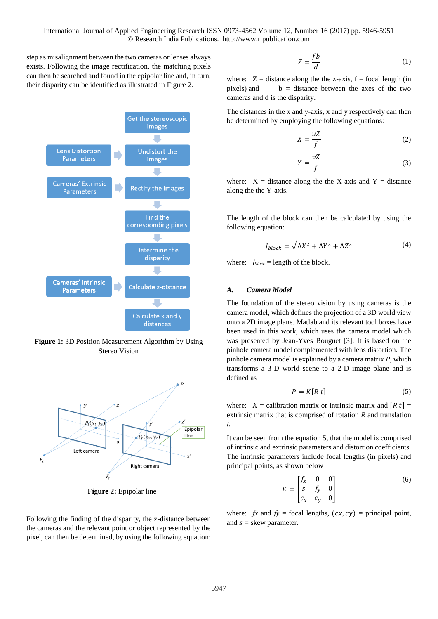step as misalignment between the two cameras or lenses always exists. Following the image rectification, the matching pixels can then be searched and found in the epipolar line and, in turn, their disparity can be identified as illustrated in [Figure 2.](#page-1-0)



Figure 1: 3D Position Measurement Algorithm by Using Stereo Vision



**Figure 2:** Epipolar line

<span id="page-1-0"></span>Following the finding of the disparity, the z-distance between the cameras and the relevant point or object represented by the pixel, can then be determined, by using the following equation:

$$
Z = \frac{fb}{d} \tag{1}
$$

where:  $Z =$  distance along the the z-axis,  $f =$  focal length (in pixels) and  $b =$  distance between the axes of the two cameras and d is the disparity.

The distances in the x and y-axis, x and y respectively can then be determined by employing the following equations:

$$
X = \frac{uZ}{f}
$$
 (2)

$$
Y = \frac{vZ}{f}
$$
 (3)

where:  $X =$  distance along the the X-axis and  $Y =$  distance along the the Y-axis.

The length of the block can then be calculated by using the following equation:

$$
l_{block} = \sqrt{\Delta X^2 + \Delta Y^2 + \Delta Z^2}
$$
 (4)

where:  $l_{block}$  = length of the block.

# *A. Camera Model*

The foundation of the stereo vision by using cameras is the camera model, which defines the projection of a 3D world view onto a 2D image plane. Matlab and its relevant tool boxes have been used in this work, which uses the camera model which was presented by Jean-Yves Bouguet [3]. It is based on the pinhole camera model complemented with lens distortion. The pinhole camera model is explained by a camera matrix *P*, which transforms a 3-D world scene to a 2-D image plane and is defined as

$$
P = K[R t] \tag{5}
$$

where:  $K =$  calibration matrix or intrinsic matrix and  $[R t] =$ extrinsic matrix that is comprised of rotation *R* and translation *t*.

It can be seen from the equation 5, that the model is comprised of intrinsic and extrinsic parameters and distortion coefficients. The intrinsic parameters include focal lengths (in pixels) and principal points, as shown below

$$
K = \begin{bmatrix} f_x & 0 & 0 \\ s & f_y & 0 \\ c_x & c_y & 0 \end{bmatrix}
$$
 (6)

where:  $fx$  and  $fy =$  focal lengths,  $(cx, cy) =$  principal point, and  $s =$  skew parameter.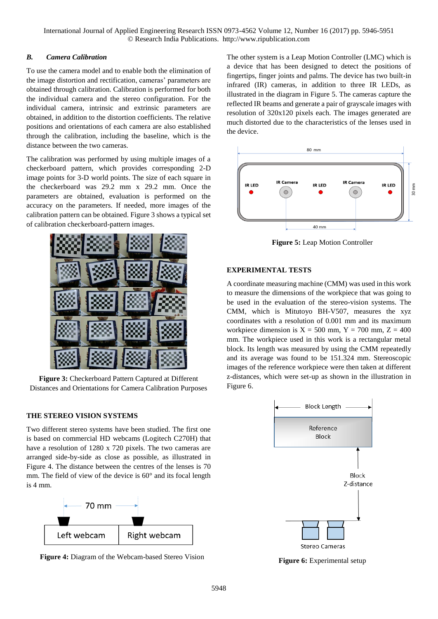International Journal of Applied Engineering Research ISSN 0973-4562 Volume 12, Number 16 (2017) pp. 5946-5951 © Research India Publications. http://www.ripublication.com

#### *B. Camera Calibration*

To use the camera model and to enable both the elimination of the image distortion and rectification, cameras' parameters are obtained through calibration. Calibration is performed for both the individual camera and the stereo configuration. For the individual camera, intrinsic and extrinsic parameters are obtained, in addition to the distortion coefficients. The relative positions and orientations of each camera are also established through the calibration, including the baseline, which is the distance between the two cameras.

The calibration was performed by using multiple images of a checkerboard pattern, which provides corresponding 2-D image points for 3-D world points. The size of each square in the checkerboard was 29.2 mm x 29.2 mm. Once the parameters are obtained, evaluation is performed on the accuracy on the parameters. If needed, more images of the calibration pattern can be obtained[. Figure 3 s](#page-2-0)hows a typical set of calibration checkerboard-pattern images.



**Figure 3:** Checkerboard Pattern Captured at Different Distances and Orientations for Camera Calibration Purposes

### <span id="page-2-0"></span>**THE STEREO VISION SYSTEMS**

Two different stereo systems have been studied. The first one is based on commercial HD webcams (Logitech C270H) that have a resolution of 1280 x 720 pixels. The two cameras are arranged side-by-side as close as possible, as illustrated in [Figure 4.](#page-2-1) The distance between the centres of the lenses is 70 mm. The field of view of the device is  $60^{\circ}$  and its focal length is 4 mm.



<span id="page-2-1"></span>**Figure 4:** Diagram of the Webcam-based Stereo Vision

The other system is a Leap Motion Controller (LMC) which is a device that has been designed to detect the positions of fingertips, finger joints and palms. The device has two built-in infrared (IR) cameras, in addition to three IR LEDs, as illustrated in the diagram in [Figure 5.](#page-2-2) The cameras capture the reflected IR beams and generate a pair of grayscale images with resolution of 320x120 pixels each. The images generated are much distorted due to the characteristics of the lenses used in the device.



**Figure 5:** Leap Motion Controller

## <span id="page-2-2"></span>**EXPERIMENTAL TESTS**

A coordinate measuring machine (CMM) was used in this work to measure the dimensions of the workpiece that was going to be used in the evaluation of the stereo-vision systems. The CMM, which is Mitutoyo BH-V507, measures the xyz coordinates with a resolution of 0.001 mm and its maximum workpiece dimension is  $X = 500$  mm,  $Y = 700$  mm,  $Z = 400$ mm. The workpiece used in this work is a rectangular metal block. Its length was measured by using the CMM repeatedly and its average was found to be 151.324 mm. Stereoscopic images of the reference workpiece were then taken at different z-distances, which were set-up as shown in the illustration in [Figure 6.](#page-2-3)



<span id="page-2-3"></span>**Figure 6:** Experimental setup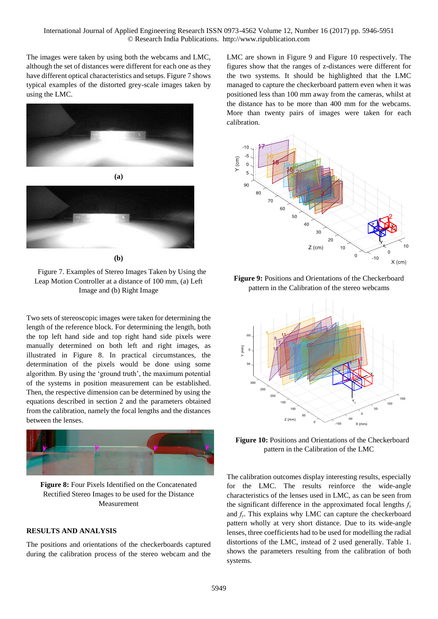The images were taken by using both the webcams and LMC, although the set of distances were different for each one as they have different optical characteristics and setups. [Figure 7](#page-3-0) shows typical examples of the distorted grey-scale images taken by using the LMC.





**(b)** 

<span id="page-3-0"></span>Figure 7. Examples of Stereo Images Taken by Using the Leap Motion Controller at a distance of 100 mm, (a) Left Image and (b) Right Image

Two sets of stereoscopic images were taken for determining the length of the reference block. For determining the length, both the top left hand side and top right hand side pixels were manually determined on both left and right images, as illustrated in [Figure 8.](#page-3-1) In practical circumstances, the determination of the pixels would be done using some algorithm. By using the 'ground truth', the maximum potential of the systems in position measurement can be established. Then, the respective dimension can be determined by using the equations described in section 2 and the parameters obtained from the calibration, namely the focal lengths and the distances between the lenses.



**Figure 8:** Four Pixels Identified on the Concatenated Rectified Stereo Images to be used for the Distance Measurement

## <span id="page-3-1"></span>**RESULTS AND ANALYSIS**

The positions and orientations of the checkerboards captured during the calibration process of the stereo webcam and the

LMC are shown in Figure 9 and Figure 10 respectively. The figures show that the ranges of z-distances were different for the two systems. It should be highlighted that the LMC managed to capture the checkerboard pattern even when it was positioned less than 100 mm away from the cameras, whilst at the distance has to be more than 400 mm for the webcams. More than twenty pairs of images were taken for each calibration.



**Figure 9:** Positions and Orientations of the Checkerboard pattern in the Calibration of the stereo webcams



**Figure 10:** Positions and Orientations of the Checkerboard pattern in the Calibration of the LMC

The calibration outcomes display interesting results, especially for the LMC. The results reinforce the wide-angle characteristics of the lenses used in LMC, as can be seen from the significant difference in the approximated focal lengths *f<sup>x</sup>* and  $f<sub>y</sub>$ . This explains why LMC can capture the checkerboard pattern wholly at very short distance. Due to its wide-angle lenses, three coefficients had to be used for modelling the radial distortions of the LMC, instead of 2 used generally. Table 1. shows the parameters resulting from the calibration of both systems.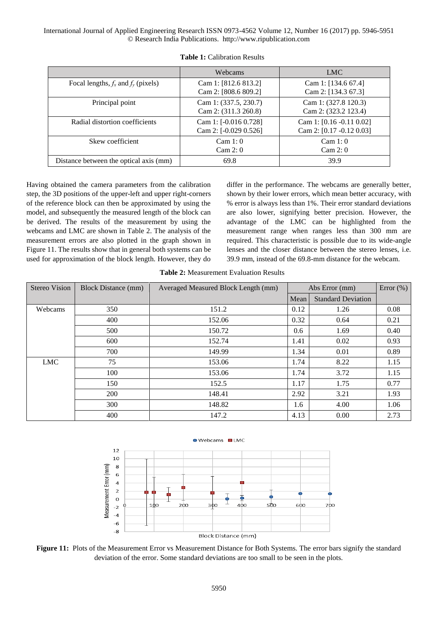International Journal of Applied Engineering Research ISSN 0973-4562 Volume 12, Number 16 (2017) pp. 5946-5951 © Research India Publications. http://www.ripublication.com

|                                         | Webcams                                        | <b>LMC</b>                                              |
|-----------------------------------------|------------------------------------------------|---------------------------------------------------------|
| Focal lengths, $f_x$ and $f_y$ (pixels) | Cam 1: [812.6 813.2]<br>Cam 2: [808.6 809.2]   | Cam 1: $[134.6 67.4]$<br>Cam 2: [134.3 67.3]            |
| Principal point                         | Cam 1: (337.5, 230.7)<br>Cam 2: (311.3 260.8)  | Cam 1: (327.8 120.3)<br>Cam 2: (323.2 123.4)            |
| Radial distortion coefficients          | Cam 1: [-0.016 0.728]<br>Cam 2: [-0.029 0.526] | Cam 1: $[0.16 - 0.11 0.02]$<br>Cam 2: [0.17 -0.12 0.03] |
| Skew coefficient                        | Cam 1: 0<br>Cam 2: 0                           | Cam 1: 0<br>Cam 2: 0                                    |
| Distance between the optical axis (mm)  | 69.8                                           | 39.9                                                    |

**Table 1:** Calibration Results

Having obtained the camera parameters from the calibration step, the 3D positions of the upper-left and upper right-corners of the reference block can then be approximated by using the model, and subsequently the measured length of the block can be derived. The results of the measurement by using the webcams and LMC are shown in Table 2. The analysis of the measurement errors are also plotted in the graph shown in [Figure 11.](#page-4-0) The results show that in general both systems can be used for approximation of the block length. However, they do

differ in the performance. The webcams are generally better, shown by their lower errors, which mean better accuracy, with % error is always less than 1%. Their error standard deviations are also lower, signifying better precision. However, the advantage of the LMC can be highlighted from the measurement range when ranges less than 300 mm are required. This characteristic is possible due to its wide-angle lenses and the closer distance between the stereo lenses, i.e. 39.9 mm, instead of the 69.8-mm distance for the webcam.

**Table 2:** Measurement Evaluation Results

| <b>Stereo Vision</b> | <b>Block Distance (mm)</b> | Averaged Measured Block Length (mm) | Abs Error (mm) |                           | Error $(\% )$ |
|----------------------|----------------------------|-------------------------------------|----------------|---------------------------|---------------|
|                      |                            |                                     | Mean           | <b>Standard Deviation</b> |               |
| Webcams              | 350                        | 151.2                               | 0.12           | 1.26                      | 0.08          |
|                      | 400                        | 152.06                              | 0.32           | 0.64                      | 0.21          |
|                      | 500                        | 150.72                              | 0.6            | 1.69                      | 0.40          |
|                      | 600                        | 152.74                              | 1.41           | 0.02                      | 0.93          |
|                      | 700                        | 149.99                              | 1.34           | 0.01                      | 0.89          |
| <b>LMC</b>           | 75                         | 153.06                              | 1.74           | 8.22                      | 1.15          |
|                      | 100                        | 153.06                              | 1.74           | 3.72                      | 1.15          |
|                      | 150                        | 152.5                               | 1.17           | 1.75                      | 0.77          |
|                      | 200                        | 148.41                              | 2.92           | 3.21                      | 1.93          |
|                      | 300                        | 148.82                              | 1.6            | 4.00                      | 1.06          |
|                      | 400                        | 147.2                               | 4.13           | 0.00                      | 2.73          |



<span id="page-4-0"></span>**Figure 11:** Plots of the Measurement Error vs Measurement Distance for Both Systems. The error bars signify the standard deviation of the error. Some standard deviations are too small to be seen in the plots.